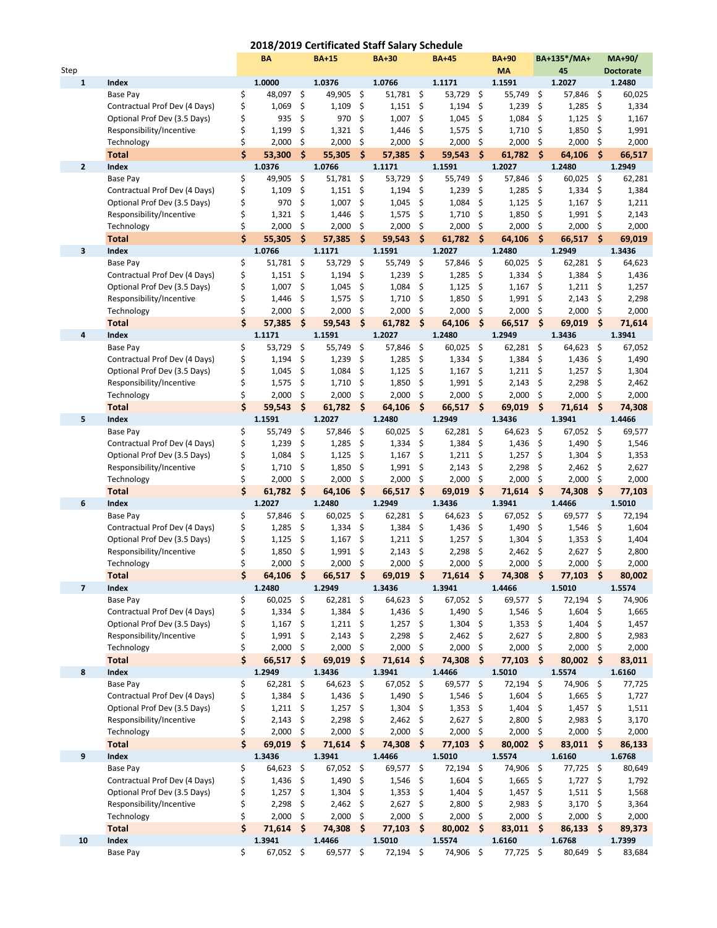## **2018/2019 Certificated Staff Salary Schedule**

|              |                                                          |          | BΑ                  |          | <b>BA+15</b>    |          | <b>BA+30</b>   |                    | <b>BA+45</b>   |                    | <b>BA+90</b>        |                     | BA+135*/MA+    |          | MA+90/           |
|--------------|----------------------------------------------------------|----------|---------------------|----------|-----------------|----------|----------------|--------------------|----------------|--------------------|---------------------|---------------------|----------------|----------|------------------|
| Step         |                                                          |          |                     |          |                 |          |                |                    |                |                    | <b>MA</b>           |                     | 45             |          | <b>Doctorate</b> |
| 1            | <b>Index</b>                                             |          | 1.0000              |          | 1.0376          |          | 1.0766         |                    | 1.1171         |                    | 1.1591              |                     | 1.2027         |          | 1.2480           |
|              | Base Pay                                                 | \$       | 48,097              | \$       | 49,905          | \$       | 51,781 \$      |                    | 53,729         | \$                 | 55,749              | \$                  | 57,846         | \$       | 60,025           |
|              | Contractual Prof Dev (4 Days)                            | \$       | 1,069               | \$       | 1,109           | \$       | 1,151          | \$                 | 1,194          | \$                 | 1,239               | \$                  | 1,285          | \$       | 1,334            |
|              | Optional Prof Dev (3.5 Days)                             | \$       | 935                 | \$       | 970             | \$       | 1,007          | \$                 | 1,045          | \$                 | 1,084               | \$                  | 1,125          | \$       | 1,167            |
|              | Responsibility/Incentive                                 | \$       | 1,199               | \$       | 1,321           | \$       | 1,446          | \$                 | 1,575          | \$                 | 1,710               | \$                  | 1,850          | \$       | 1,991            |
|              | Technology                                               | \$       | 2,000               | \$       | 2,000           | \$       | 2,000          | \$                 | 2,000          | \$                 | 2,000               | \$                  | 2,000          | \$       | 2,000            |
|              | <b>Total</b>                                             | Ś.       | 53,300              | \$       | 55,305          | \$       | 57,385         | - \$               | 59,543         | \$                 | 61,782              | -\$                 | 64,106         | \$.      | 66,517           |
| $\mathbf{2}$ | <b>Index</b>                                             |          | 1.0376              |          | 1.0766          |          | 1.1171         |                    | 1.1591         |                    | 1.2027              |                     | 1.2480         |          | 1.2949           |
|              | Base Pay<br>Contractual Prof Dev (4 Days)                | \$       | 49,905              | \$       | 51,781          | \$       | 53,729         | \$                 | 55,749         | \$                 | 57,846              | \$<br>- \$          | 60,025         | \$       | 62,281           |
|              | Optional Prof Dev (3.5 Days)                             | \$<br>\$ | 1,109<br>970        | \$<br>\$ | 1,151<br>1,007  | \$<br>\$ | 1,194<br>1,045 | \$<br>\$           | 1,239<br>1,084 | \$<br>\$           | 1,285<br>1,125      | \$                  | 1,334<br>1,167 | \$       | 1,384<br>1,211   |
|              | Responsibility/Incentive                                 | \$       | 1,321               | \$       | 1,446           | \$       | 1,575          | \$                 | 1,710          | \$                 | 1,850               | \$                  | 1,991          | \$<br>\$ | 2,143            |
|              | Technology                                               | \$       | 2,000               | \$       | 2,000           | \$       | 2,000          | \$                 | 2,000          | \$                 | 2,000               | \$                  | 2,000          | \$       | 2,000            |
|              | <b>Total</b>                                             | Ś        | 55,305              | \$       | 57,385          | \$       | 59,543         | $\dot{\mathsf{s}}$ | 61,782         | $\mathsf{\hat{S}}$ | 64,106              | \$                  | 66,517         | Ŝ.       | 69,019           |
| 3            | <b>Index</b>                                             |          | 1.0766              |          | 1.1171          |          | 1.1591         |                    | 1.2027         |                    | 1.2480              |                     | 1.2949         |          | 1.3436           |
|              | Base Pay                                                 | \$       | 51,781              | \$       | 53,729          | \$       | 55,749         | \$                 | 57,846         | \$                 | 60,025              | \$                  | 62,281         | \$       | 64,623           |
|              | Contractual Prof Dev (4 Days)                            | \$       | 1,151               | \$       | 1,194           | \$       | 1,239          | \$                 | 1,285          | \$                 | 1,334               | \$                  | 1,384          | \$       | 1,436            |
|              | Optional Prof Dev (3.5 Days)                             | \$       | 1,007               | \$       | 1,045           | \$       | 1,084          | \$                 | 1,125          | \$                 | 1,167               | \$                  | 1,211          | \$       | 1,257            |
|              | Responsibility/Incentive                                 | \$       | 1,446               | \$       | 1,575           | \$       | 1,710          | \$                 | 1,850          | \$                 | 1,991               | \$                  | 2,143          | \$       | 2,298            |
|              | Technology                                               | \$       | 2,000               | \$       | 2,000           | \$       | 2,000          | \$                 | 2,000          | \$                 | 2,000               | \$                  | 2,000          | \$       | 2,000            |
|              | <b>Total</b>                                             | \$       | 57,385              | \$       | 59,543          | \$       | $61,782$ \$    |                    | 64,106         | \$                 | 66,517              | $\ddot{\bm{\zeta}}$ | 69,019         | \$       | 71,614           |
| 4            | Index                                                    |          | 1.1171              |          | 1.1591          |          | 1.2027         |                    | 1.2480         |                    | 1.2949              |                     | 1.3436         |          | 1.3941           |
|              | Base Pay                                                 | \$       | 53,729              | \$       | 55,749          | \$       | 57,846         | \$                 | 60,025         | \$                 | 62,281              | \$                  | 64,623         | \$       | 67,052           |
|              | Contractual Prof Dev (4 Days)                            | \$       | 1,194               | \$       | 1,239           | \$       | 1,285          | \$                 | 1,334          | \$                 | 1,384               | \$                  | 1,436          | \$       | 1,490            |
|              | Optional Prof Dev (3.5 Days)                             | \$       | 1,045               | \$       | 1,084           | \$       | 1,125          | \$                 | 1,167          | -\$                | 1,211               | \$                  | 1,257          | \$       | 1,304            |
|              | Responsibility/Incentive                                 | \$       | 1,575               | \$       | 1,710           | \$       | 1,850          | \$                 | 1,991          | \$                 | 2,143               | \$                  | 2,298          | \$       | 2,462            |
|              | Technology                                               | \$       | 2,000               | \$       | 2,000           | \$       | 2,000          | \$                 | 2,000          | \$                 | 2,000               | \$                  | 2,000          | \$       | 2,000            |
|              | <b>Total</b>                                             | \$       | 59,543              | \$       | 61,782          | Ŝ.       | 64,106         | - \$               | 66,517         | Ŝ.                 | 69,019              | $\ddot{\bm{\zeta}}$ | 71,614         | \$.      | 74,308           |
| 5            | Index                                                    |          | 1.1591              |          | 1.2027          |          | 1.2480         |                    | 1.2949         |                    | 1.3436              |                     | 1.3941         |          | 1.4466           |
|              | Base Pay                                                 | \$       | 55,749              | \$       | 57,846          | \$       | 60,025         | \$                 | 62,281         | \$                 | 64,623              | \$                  | 67,052         | \$       | 69,577           |
|              | Contractual Prof Dev (4 Days)                            | \$       | 1,239               | \$       | 1,285           | \$       | 1,334          | \$                 | 1,384          | \$                 | 1,436               | \$                  | 1,490          | \$       | 1,546            |
|              | Optional Prof Dev (3.5 Days)                             | \$       | 1,084               | \$       | 1,125           | \$       | 1,167          | \$                 | 1,211          | \$                 | 1,257               | \$                  | 1,304          | \$       | 1,353            |
|              | Responsibility/Incentive                                 | \$<br>\$ | 1,710<br>2,000      | \$<br>\$ | 1,850           | \$<br>\$ | 1,991<br>2,000 | \$<br>\$           | 2,143<br>2,000 | \$<br>\$           | 2,298<br>2,000      | \$<br>\$            | 2,462<br>2,000 | \$<br>\$ | 2,627<br>2,000   |
|              | Technology<br><b>Total</b>                               | \$       | 61,782              | \$       | 2,000<br>64,106 | \$       | 66,517         | - \$               | 69,019         | \$                 | 71,614              | $\ddot{\bm{\zeta}}$ | 74,308         | \$       | 77,103           |
| 6            | <b>Index</b>                                             |          | 1.2027              |          | 1.2480          |          | 1.2949         |                    | 1.3436         |                    | 1.3941              |                     | 1.4466         |          | 1.5010           |
|              | Base Pay                                                 | \$       | 57,846              | \$       | 60,025          | \$       | 62,281         | - \$               | 64,623         | \$                 | 67,052              | \$                  | 69,577         | \$       | 72,194           |
|              | Contractual Prof Dev (4 Days)                            | \$       | 1,285               | \$       | 1,334           | \$       | 1,384          | \$                 | 1,436          | \$                 | 1,490               | \$                  | 1,546          | \$       | 1,604            |
|              | Optional Prof Dev (3.5 Days)                             | \$       | 1,125               | \$       | 1,167           | \$       | 1,211          | - \$               | 1,257          | \$                 | 1,304               | \$                  | 1,353          | \$       | 1,404            |
|              | Responsibility/Incentive                                 | Ś        | 1,850               | \$       | 1,991           | \$       | 2,143          | \$                 | 2,298          | \$                 | 2,462               | \$                  | 2,627          | \$       | 2,800            |
|              | Technology                                               | \$       | 2,000               | \$       | 2,000           | \$       | 2,000          | \$                 | 2,000          | \$                 | 2,000               | \$                  | 2,000          | \$       | 2,000            |
|              | <b>Total</b>                                             | \$       | 64,106 \$           |          | 66,517 \$       |          | 69,019         | - \$               | $71,614$ \$    |                    | 74,308 \$           |                     | 77,103         | \$       | 80,002           |
| 7            | Index                                                    |          | 1.2480              |          | 1.2949          |          | 1.3436         |                    | 1.3941         |                    | 1.4466              |                     | 1.5010         |          | 1.5574           |
|              | Base Pay                                                 | \$       | 60,025              | \$       | 62,281          | \$       | 64,623         | \$                 | 67,052         | \$                 | 69,577              | \$                  | 72,194         | \$       | 74,906           |
|              | Contractual Prof Dev (4 Days)                            | \$       | 1,334               | - \$     | 1,384           | \$       | 1,436          | - \$               | 1,490          | Ŝ.                 | 1,546               | - \$                | 1,604          | \$       | 1,665            |
|              | Optional Prof Dev (3.5 Days)                             | \$       | $1,167$ \$          |          | 1,211           | S        | $1,257$ \$     |                    | 1,304          | \$                 | $1,353$ \$          |                     | 1,404          | S        | 1,457            |
|              | Responsibility/Incentive                                 | \$       | 1,991               | -\$      | 2,143           | \$       | 2,298          | -\$                | 2,462          | -\$                | $2,627$ \$          |                     | 2,800          | S        | 2,983            |
|              | Technology                                               | \$       | 2,000               | \$       | 2,000           | \$       | 2,000          | - \$               | 2,000          | \$                 | 2,000               | \$                  | 2,000          | \$       | 2,000            |
|              | <b>Total</b>                                             | Ś        | $66,517$ \$         |          | 69,019          | \$       | $71,614$ \$    |                    | 74,308         | Ŝ.                 | $77,103$ \$         |                     | 80,002         | - \$     | 83,011           |
| 8            | Index                                                    |          | 1.2949              |          | 1.3436          |          | 1.3941         |                    | 1.4466         |                    | 1.5010              |                     | 1.5574         |          | 1.6160           |
|              | Base Pay                                                 | \$       | 62,281              | \$       | 64,623          | \$       | 67,052 \$      |                    | 69,577         | \$                 | 72,194              | \$                  | 74,906         | \$       | 77,725           |
|              | Contractual Prof Dev (4 Days)                            | \$<br>\$ | $1,384$ \$          |          | 1,436           | \$       | $1,490$ \$     |                    | 1,546          | \$                 | $1,604$ \$          |                     | 1,665          | \$       | 1,727            |
|              | Optional Prof Dev (3.5 Days)<br>Responsibility/Incentive | \$       | $1,211$ \$<br>2,143 | \$       | 1,257<br>2,298  | S<br>\$  | 1,304<br>2,462 | - \$<br>- \$       | 1,353<br>2,627 | \$<br>\$           | $1,404$ \$<br>2,800 | \$                  | 1,457<br>2,983 | S<br>\$. | 1,511<br>3,170   |
|              | Technology                                               | \$       | 2,000               | \$       | 2,000           | \$       | $2,000$ \$     |                    | 2,000          | \$                 | $2,000$ \$          |                     | 2,000          | \$       | 2,000            |
|              | <b>Total</b>                                             | Ś.       | $69,019$ \$         |          | 71,614          | Ŝ.       | 74,308 \$      |                    | $77,103$ \$    |                    | 80,002 \$           |                     | $83,011$ \$    |          | 86,133           |
| 9            | Index                                                    |          | 1.3436              |          | 1.3941          |          | 1.4466         |                    | 1.5010         |                    | 1.5574              |                     | 1.6160         |          | 1.6768           |
|              | Base Pay                                                 | \$       | 64,623              | \$       | 67,052          | \$       | 69,577 \$      |                    | 72,194         | \$                 | 74,906              | \$                  | 77,725         | \$       | 80,649           |
|              | Contractual Prof Dev (4 Days)                            | \$       | $1,436$ \$          |          | 1,490           | \$       | 1,546          | - \$               | 1,604          | \$                 | $1,665$ \$          |                     | $1,727$ \$     |          | 1,792            |
|              | Optional Prof Dev (3.5 Days)                             | \$       | $1,257$ \$          |          | 1,304           | \$       | 1,353          | - \$               | 1,404          | -\$                | $1,457$ \$          |                     | 1,511          | S        | 1,568            |
|              | Responsibility/Incentive                                 | \$       | 2,298               | \$       | 2,462           | S        | $2,627$ \$     |                    | 2,800          | \$                 | 2,983               | \$                  | 3,170          | \$.      | 3,364            |
|              | Technology                                               | \$       | 2,000               | \$       | 2,000           | \$       | 2,000          | \$                 | 2,000          | \$                 | 2,000               | - \$                | 2,000          | \$       | 2,000            |
|              | <b>Total</b>                                             | Ś        | $71,614$ \$         |          | 74,308          | \$       | $77,103$ \$    |                    | 80,002         | - \$               | 83,011 \$           |                     | 86,133         | \$       | 89,373           |
| 10           | Index                                                    |          | 1.3941              |          | 1.4466          |          | 1.5010         |                    | 1.5574         |                    | 1.6160              |                     | 1.6768         |          | 1.7399           |
|              | <b>Base Pay</b>                                          | \$       | 67,052 \$           |          | 69,577 \$       |          | 72,194 \$      |                    | 74,906         | \$                 | 77,725 \$           |                     | 80,649         | \$       | 83,684           |